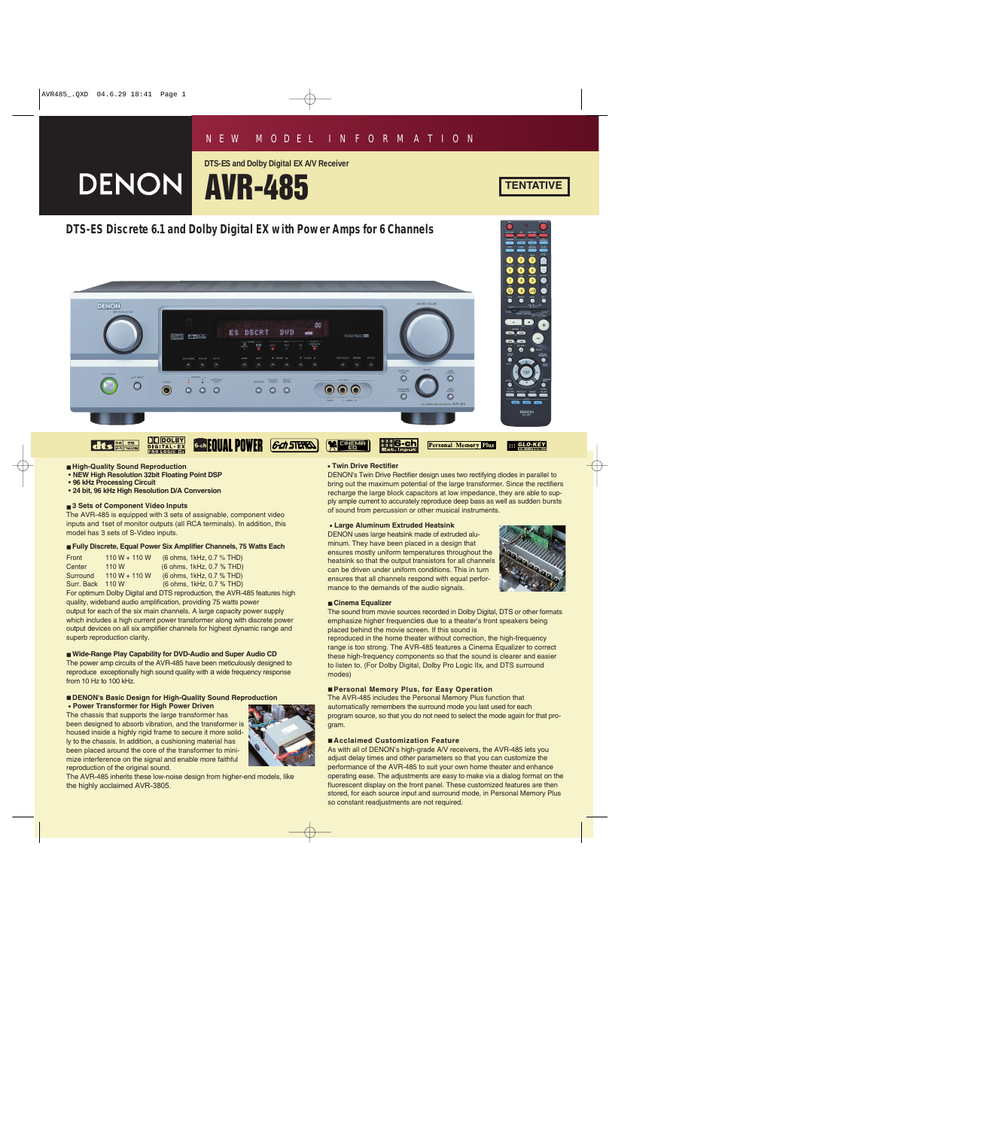**DTS-ES and Dolby Digital EX A/V Receiver**



# **DTS-ES Discrete 6.1 and Dolby Digital EX with Power Amps for 6 Channels**







- **NEW High Resolution 32bit Floating Point DSP**
- **96 kHz Processing Circuit**
- **24 bit, 96 kHz High Resolution D/A Conversion**

#### ■ 3 Sets of Component Video Inputs

The AVR-485 is equipped with 3 sets of assignable, component video inputs and 1set of monitor outputs (all RCA terminals). In addition, this model has 3 sets of S-Video inputs.

#### ■ **Fully Discrete, Equal Power Six Amplifier Channels, 75 Watts Each**

| Front      | $110 W + 110 W$ | (6 ohms, 1kHz, 0.7 % THD) |
|------------|-----------------|---------------------------|
| Center     | 110 W           | (6 ohms, 1kHz, 0.7 % THD) |
| Surround   | $110 W + 110 W$ | (6 ohms, 1kHz, 0.7 % THD) |
| Surr, Back | 110 W           | (6 ohms, 1kHz, 0.7 % THD) |

For optimum Dolby Digital and DTS reproduction, the AVR-485 features high quality, wideband audio amplification, providing 75 watts power output for each of the six main channels. A large capacity power supply which includes a high current power transformer along with discrete power output devices on all six amplifier channels for highest dynamic range and superb reproduction clarity.

## ■ Wide-Range Play Capability for DVD-Audio and Super Audio CD

The power amp circuits of the AVR-485 have been meticulously designed to reproduce exceptionally high sound quality with a wide frequency response from 10 Hz to 100 kHz.

#### ■ **DENON's Basic Design for High-Quality Sound Reproduction • Power Transformer for High Power Driven**

The chassis that supports the large transformer has been designed to absorb vibration, and the transformer is housed inside a highly rigid frame to secure it more solidly to the chassis. In addition, a cushioning material has been placed around the core of the transformer to minimize interference on the signal and enable more faithful reproduction of the original sound.



The AVR-485 inherits these low-noise design from higher-end models, like the highly acclaimed AVR-3805.

#### **• Twin Drive Rectifier**

DENON's Twin Drive Rectifier design uses two rectifying diodes in parallel to bring out the maximum potential of the large transformer. Since the rectifiers recharge the large block capacitors at low impedance, they are able to supply ample current to accurately reproduce deep bass as well as sudden bursts of sound from percussion or other musical instruments.

#### **• Large Aluminum Extruded Heatsink**

DENON uses large heatsink made of extruded aluminum. They have been placed in a design that ensures mostly uniform temperatures throughout the heatsink so that the output transistors for all channels can be driven under uniform conditions. This in turn ensures that all channels respond with equal performance to the demands of the audio signals.



#### ■ Cinema Equalizer

The sound from movie sources recorded in Dolby Digital, DTS or other formats emphasize higher frequencies due to a theater's front speakers being placed behind the movie screen. If this sound is

reproduced in the home theater without correction, the high-frequency range is too strong. The AVR-485 features a Cinema Equalizer to correct these high-frequency components so that the sound is clearer and easier to listen to. (For Dolby Digital, Dolby Pro Logic IIx, and DTS surround modes)

#### ■ **Personal Memory Plus, for Easy Operation**

The AVR-485 includes the Personal Memory Plus function that automatically remembers the surround mode you last used for each program source, so that you do not need to select the mode again for that program.

#### ■ **Acclaimed Customization Feature**

As with all of DENON's high-grade A/V receivers, the AVR-485 lets you adjust delay times and other parameters so that you can customize the performance of the AVR-485 to suit your own home theater and enhance operating ease. The adjustments are easy to make via a dialog format on the fluorescent display on the front panel. These customized features are then stored, for each source input and surround mode, in Personal Memory Plus so constant readjustments are not required.

## **TENTATIVE**